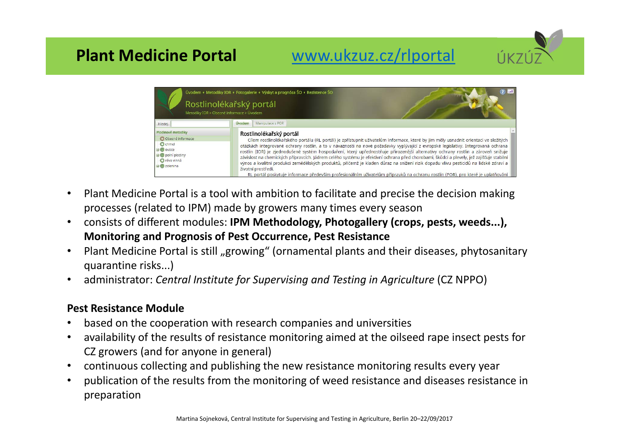# **Plant Medicine Portal** www.ukzuz.cz/rlportal



- • Plant Medicine Portal is a tool with ambition to facilitate and precise the decision making processes (related to IPM) made by growers many times every season
- • consists of different modules: **IPM Methodology, Photogallery (crops, pests, weeds...), Monitoring and Prognosis of Pest Occurrence, Pest Resistance**
- •Plant Medicine Portal is still "growing" (ornamental plants and their diseases, phytosanitary quarantine risks...)
- •administrator: *Central Institute for Supervising and Testing in Agriculture* (CZ NPPO)

#### **Pest Resistance Module**

- •based on the cooperation with research companies and universities
- • availability of the results of resistance monitoring aimed at the oilseed rape insect pests for CZ growers (and for anyone in general)
- •continuous collecting and publishing the new resistance monitoring results every year
- • publication of the results from the monitoring of weed resistance and diseases resistance in preparation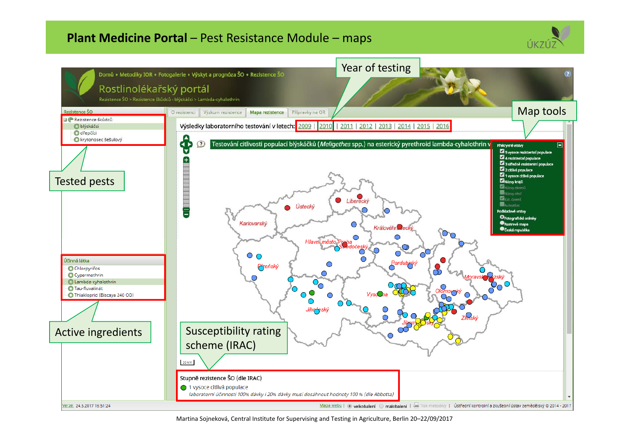### **Plant Medicine Portal** – Pest Resistance Module – maps





Martina Sojneková, Central Institute for Supervising and Testing in Agriculture, Berlin 20–22/09/2017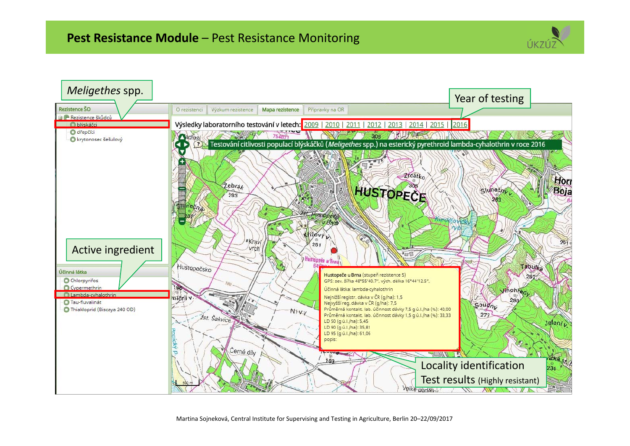

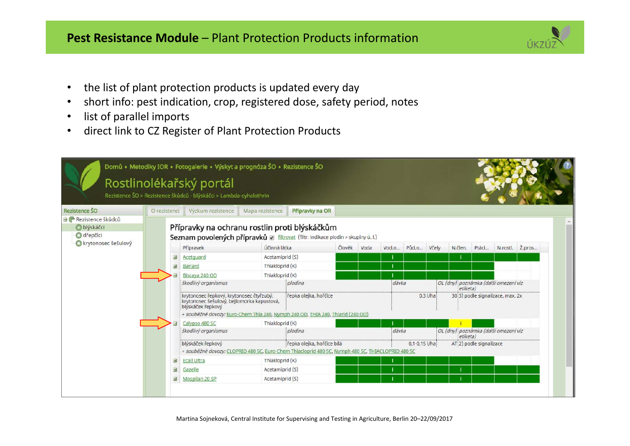## **Pest Resistance Module** – Plant Protection Products information

- the list of plant protection products is updated every day
- •short info: pest indication, crop, registered dose, safety period, notes
- •list of parallel imports

•

•direct link to CZ Register of Plant Protection Products